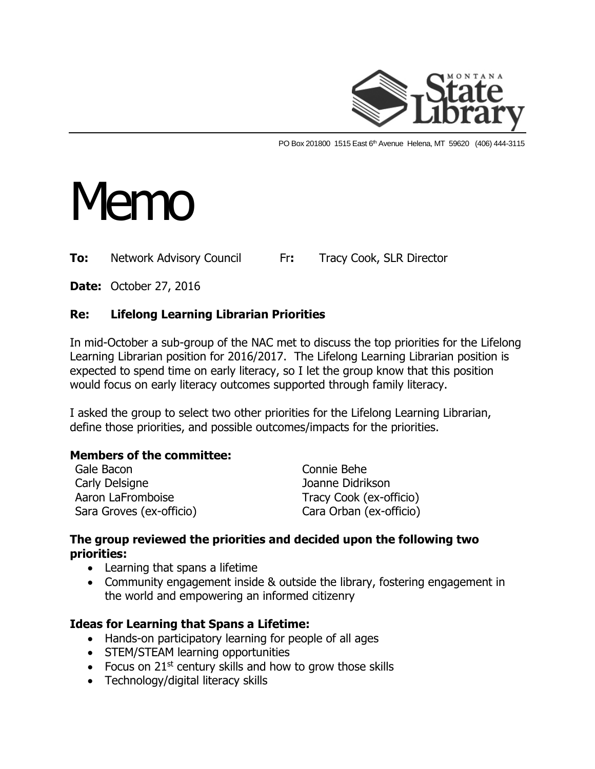

PO Box 201800 1515 East 6<sup>th</sup> Avenue Helena, MT 59620 (406) 444-3115

# Memo

**To:** Network Advisory Council Fr**:** Tracy Cook, SLR Director

**Date:** October 27, 2016

## **Re: Lifelong Learning Librarian Priorities**

In mid-October a sub-group of the NAC met to discuss the top priorities for the Lifelong Learning Librarian position for 2016/2017. The Lifelong Learning Librarian position is expected to spend time on early literacy, so I let the group know that this position would focus on early literacy outcomes supported through family literacy.

I asked the group to select two other priorities for the Lifelong Learning Librarian, define those priorities, and possible outcomes/impacts for the priorities.

#### **Members of the committee:**

| Gale Bacon               | Connie Behe             |
|--------------------------|-------------------------|
| Carly Delsigne           | Joanne Didrikson        |
| Aaron LaFromboise        | Tracy Cook (ex-officio) |
| Sara Groves (ex-officio) | Cara Orban (ex-officio) |

#### **The group reviewed the priorities and decided upon the following two priorities:**

- Learning that spans a lifetime
- Community engagement inside & outside the library, fostering engagement in the world and empowering an informed citizenry

#### **Ideas for Learning that Spans a Lifetime:**

- Hands-on participatory learning for people of all ages
- STEM/STEAM learning opportunities
- Focus on  $21^{st}$  century skills and how to grow those skills
- Technology/digital literacy skills